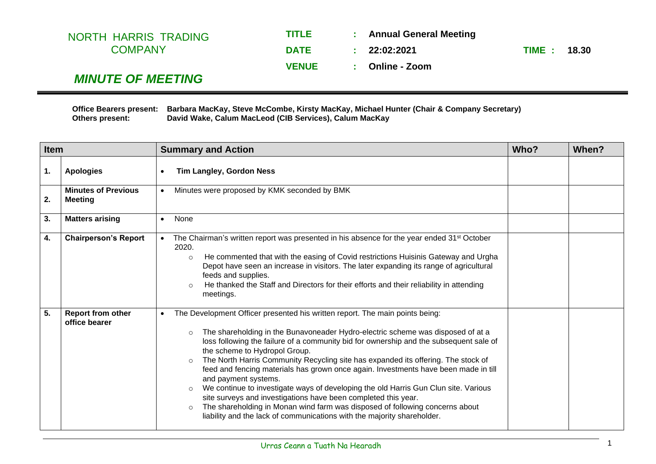| <b>TITLE</b> | : Annual General Meeting |                    |  |
|--------------|--------------------------|--------------------|--|
| <b>DATE</b>  | : 22:02:2021             | <b>TIME: 18.30</b> |  |
| <b>VENUE</b> | : Online - Zoom          |                    |  |
|              |                          |                    |  |

## *MINUTE OF MEETING*

**Office Bearers present: Barbara MacKay, Steve McCombe, Kirsty MacKay, Michael Hunter (Chair & Company Secretary) Others present: David Wake, Calum MacLeod (CIB Services), Calum MacKay**

| <b>Item</b> |                                              | <b>Summary and Action</b>                                                                                                                                                                                                                                                                                                                                                                                                                                                                                                                                                                                                                                                                                                                                                                                                                                                    |  | When? |
|-------------|----------------------------------------------|------------------------------------------------------------------------------------------------------------------------------------------------------------------------------------------------------------------------------------------------------------------------------------------------------------------------------------------------------------------------------------------------------------------------------------------------------------------------------------------------------------------------------------------------------------------------------------------------------------------------------------------------------------------------------------------------------------------------------------------------------------------------------------------------------------------------------------------------------------------------------|--|-------|
| 1.          | <b>Apologies</b>                             | <b>Tim Langley, Gordon Ness</b>                                                                                                                                                                                                                                                                                                                                                                                                                                                                                                                                                                                                                                                                                                                                                                                                                                              |  |       |
| 2.          | <b>Minutes of Previous</b><br><b>Meeting</b> | Minutes were proposed by KMK seconded by BMK<br>$\bullet$                                                                                                                                                                                                                                                                                                                                                                                                                                                                                                                                                                                                                                                                                                                                                                                                                    |  |       |
| 3.          | <b>Matters arising</b>                       | None<br>$\bullet$                                                                                                                                                                                                                                                                                                                                                                                                                                                                                                                                                                                                                                                                                                                                                                                                                                                            |  |       |
| 4.          | <b>Chairperson's Report</b>                  | The Chairman's written report was presented in his absence for the year ended 31 <sup>st</sup> October<br>2020.<br>He commented that with the easing of Covid restrictions Huisinis Gateway and Urgha<br>$\circ$<br>Depot have seen an increase in visitors. The later expanding its range of agricultural<br>feeds and supplies.<br>He thanked the Staff and Directors for their efforts and their reliability in attending<br>$\circ$<br>meetings.                                                                                                                                                                                                                                                                                                                                                                                                                         |  |       |
| 5.          | Report from other<br>office bearer           | The Development Officer presented his written report. The main points being:<br>$\bullet$<br>The shareholding in the Bunavoneader Hydro-electric scheme was disposed of at a<br>$\circ$<br>loss following the failure of a community bid for ownership and the subsequent sale of<br>the scheme to Hydropol Group.<br>The North Harris Community Recycling site has expanded its offering. The stock of<br>$\Omega$<br>feed and fencing materials has grown once again. Investments have been made in till<br>and payment systems.<br>We continue to investigate ways of developing the old Harris Gun Clun site. Various<br>$\circ$<br>site surveys and investigations have been completed this year.<br>The shareholding in Monan wind farm was disposed of following concerns about<br>$\circ$<br>liability and the lack of communications with the majority shareholder. |  |       |